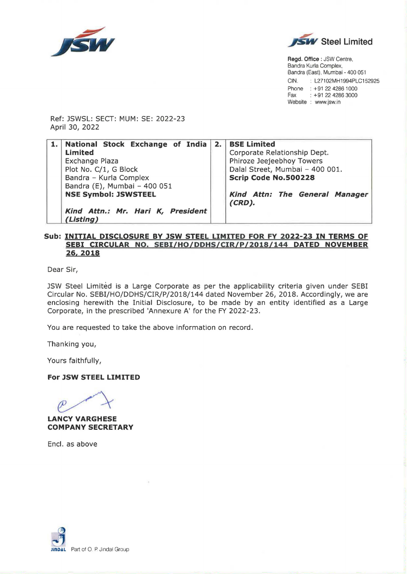



**Regd. Office** : JSW Centre, Bandra Kurla Complex, Bandra (East), Mumbai - 400 051 CIN. : L27102MH1994PLC152925 Phone : +91 22 4286 1000<br>Fax : +91 22 4286 3000  $: +912242863000$ Website : www.jsw.in

Ref: JSWSL: SECT: MUM: SE: 2022-23 April 30, 2022

| 1. National Stock Exchange of India            | 2. BSE Limited                              |
|------------------------------------------------|---------------------------------------------|
| <b>Limited</b>                                 | Corporate Relationship Dept.                |
| <b>Exchange Plaza</b>                          | Phiroze Jeejeebhoy Towers                   |
| Plot No. C/1, G Block                          | Dalal Street, Mumbai - 400 001.             |
| Bandra - Kurla Complex                         | Scrip Code No.500228                        |
| Bandra (E), Mumbai - 400 051                   |                                             |
| <b>NSE Symbol: JSWSTEEL</b>                    | Kind Attn: The General Manager<br>$(CRD)$ . |
| Kind Attn.: Mr. Hari K, President<br>(Listing) |                                             |

## **Sub: INITIAL DISCLOSURE BY JSW STEEL LIMITED FOR FY 2022-23 IN TERMS OF SEBI CIRCULAR NO. SEBI/HO/DDHS/CIR/P/2018/144 DATED NOVEMBER 26.2018**

Dear Sir,

JSW Steel Limited is a Large Corporate as per the applicability criteria given under SEBI Circular No. SEBI/HO/DDHS/CIR/P/2018/144 dated November 26, 2018. Accordingly, we are enclosing herewith the Initial Disclosure, to be made by an entity identified as a Large Corporate, in the prescribed 'Annexure A' for the FY 2022-23.

You are requested to take the above information on record.

Thanking you,

Yours faithfully,

**For JSW STEEL LIMITED** 

**LANCY VARGHESE COMPANY SECRETARY** 

Encl. as above